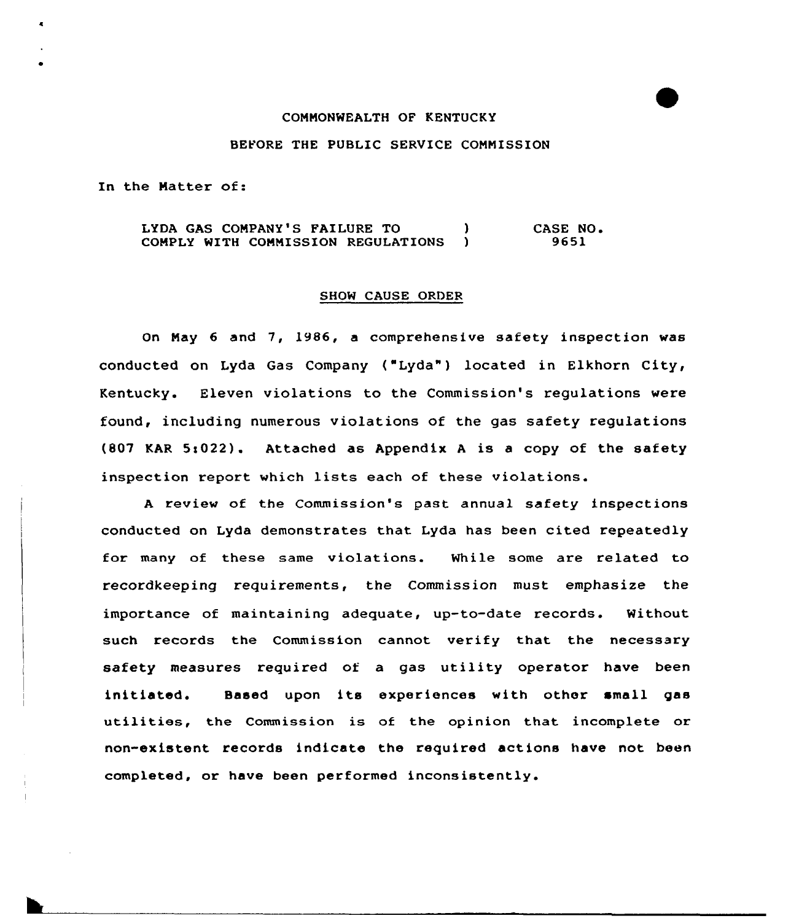#### CONMONWEALTH OF KENTUCKY

#### BEFORE THE PUBLIC SERVICE COMMISSION

In the Natter of:

LYDA GAS COMPANY'S FAILURE TO (3) COMPLY WITH COMMISSION REGULATIONS ) CASE NO. 9651

### SHOW CAUSE ORDER

On May 6 and 7, 1986, a comprehensive safety inspection was conducted on Lyda Gas Company ("Lyda") located in Elkhorn City, Kentucky. Eleven violations to the Commission's regulations wexe found, including numerous violations of the gas safety regulations (807 KAR  $5:022$ ). Attached as Appendix A is a copy of the safety inspection report which lists each of these violations.

<sup>A</sup> xeview of the Commission's past annual safety inspections conducted on Lyda demonstrates that Lyda has been cited repeatedly for many of these same violations. While some are related to recordkeeping requirements, the Commission must emphasize the importance of maintaining adequate, up-to-date records. Without such records the Commission cannot verify that the necessary safety measures required of a gas utility operator have been initiated. Based upon its experiences with other small gas utilities, the Commission is of the opinion that incomplete or non-existent records indicate the required actions have not been completed, or have been performed inconsistently.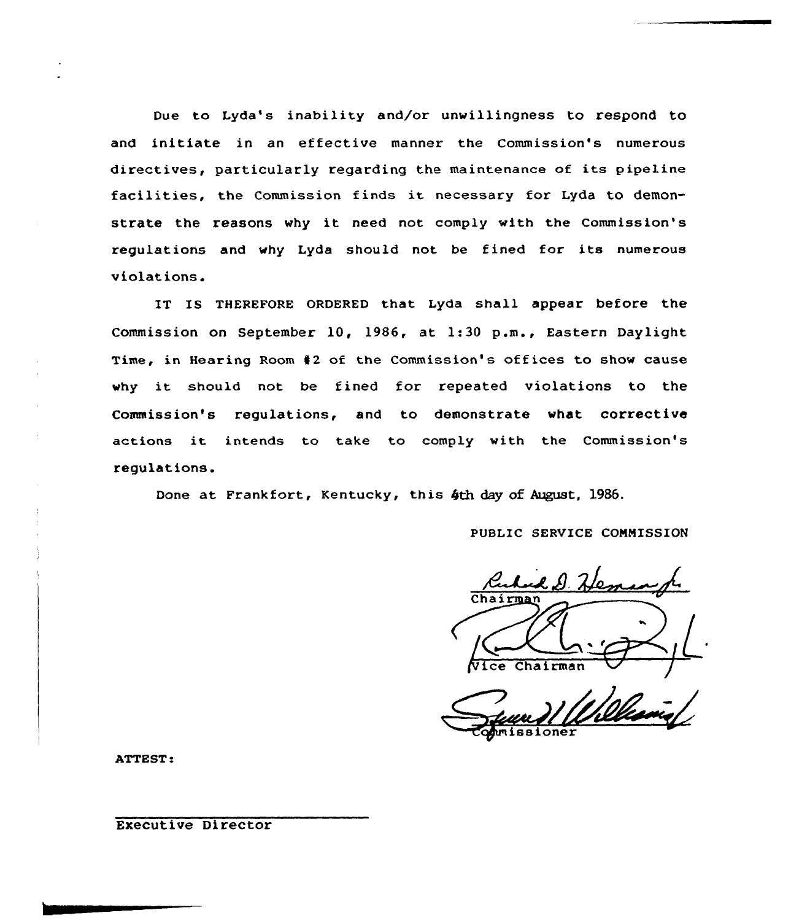Due to Lyda's inability and/or unwillingness to respond to and initiate in an effective manner the Commission's numerous directives, particularly regarding the maintenance of its pipeline facilities, the Commission finds it necessary for Lyda to demonstrate the reasons why it need not comply with the Commission's regulations and why Lyda should not be fined for its numerous violations.

IT IS THEREFORE ORDERED that Lyda shall appear before the Commission on September 1Q, 1986, at 1:30 p.m., Eastern Daylight Time, in Hearing Room 42 of the Commission's offices to show cause why it should not be fined for repeated violations to the Commission's regulations, and to demonstrate what corrective actions it intends to take to comply with the Commission's regulations.

Done at Frankfort, Kentucky, this 4th day of August, 1986.

PUBLIC SERVICE CONNISSION

ud D. He /Vice Chairman

ssioner

ATTEST:

Executive Director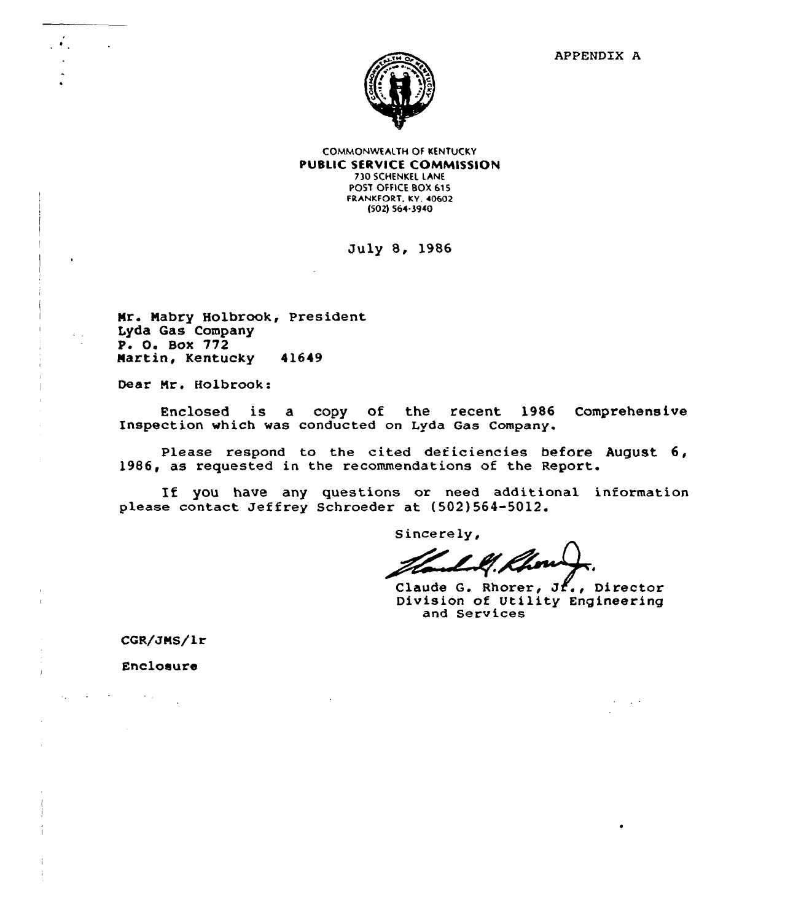

COMMONWEALTH OF KENTUCKY PUBLIC SERVICE COMMISSION 730 SCHENKEL LANE POST OFFICE BOX 615 FRANKFORT, KY. 40602 (502) 564-3940

Duly 8, 1986

Mr. Mabry Holbrook, President Lyda Gas Company P. 0, Box 772 Nartin, Kentucky 41649

Dear Nr. Holbrook:

 $\mathcal{O}(\mathcal{O}_\mathcal{A})$  . The set of  $\mathcal{O}_\mathcal{A}$ 

Enclosed is a copy of the recent 1986 Comprehensive Inspection which was conducted on Lyda Gas Company.

Please respond to the cited deticiencies before August 6, 1986, as requested in the recommendations of the Report.

If you have any questions or need additional information please contact Jeffrey Schroeder at (502)564-5012.

Sincerely,

Claude G. Rhorer,  $J_1$ , Director Division of Utility Engineering and Serv ices

CGR/JMS/lr

Enclosure

 $\mathcal{H}^{\mathcal{G}}_{\mathcal{G}}$  , where  $\mathcal{H}^{\mathcal{G}}_{\mathcal{G}}$  , and  $\mathcal{H}^{\mathcal{G}}_{\mathcal{G}}$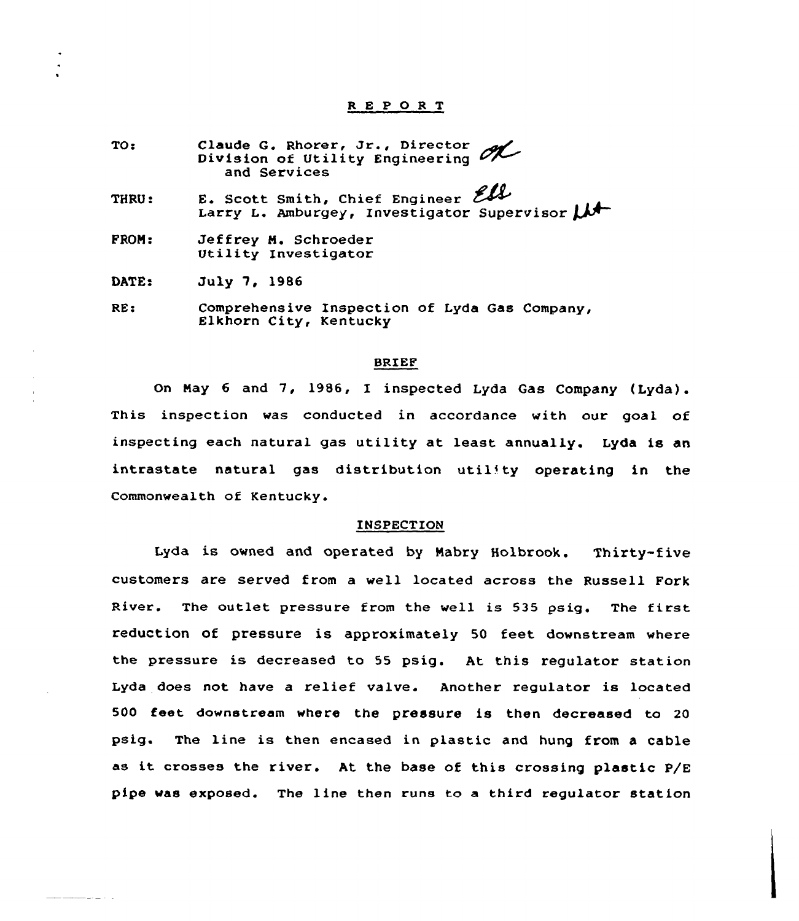# <sup>R</sup> <sup>E</sup> P 0 <sup>R</sup> T

- TO: econduity<br>Claude G. Rhorer, Jr., Director Division of Utility Engineering and Services
- THRU: E. Scott Smith, Chief Enginee and Services<br>E. Scott Smith, Chief Engineer Eller<br>Larry L. Amburgey, Investigator Supervisor LAT
- FROM: Jeffrey M. Schroeder Utility Investigator

DATE: July 7, 1986

RE: Comprehensive Inspection of Lyda Gas Company, Elkhorn City, Kentucky

### BRIEF

On May <sup>6</sup> and 7, 1986, I inspected Lyda Gas Company (Lyda). This inspection was conducted in accordance with our goal of inspecting each natural gas utility at least annually. Lyda is an  $intractate$  natural gas distribution utility operating in the Commonwealth of Kentucky.

# INSPECTION

Lyda is owned and operated by Nabry Holbrook. Thixty-five customers are served from a well located across the Russell Fork River. The outlet pressure from the well is <sup>535</sup> psig. The first reduction of pressure is approximately 50 feet downstream where the pressure is decreased to <sup>55</sup> psig. At this regulator station Lyda does not have a relief valve. Another regulator is located 500 feet downstream where the pressure is then decreased to <sup>20</sup> psig. The line is then encased in plastic and hung from a cable as it crosses the river. At the base of this crossing plastic P/E pipe was exposed. The line then runs to a third regulator station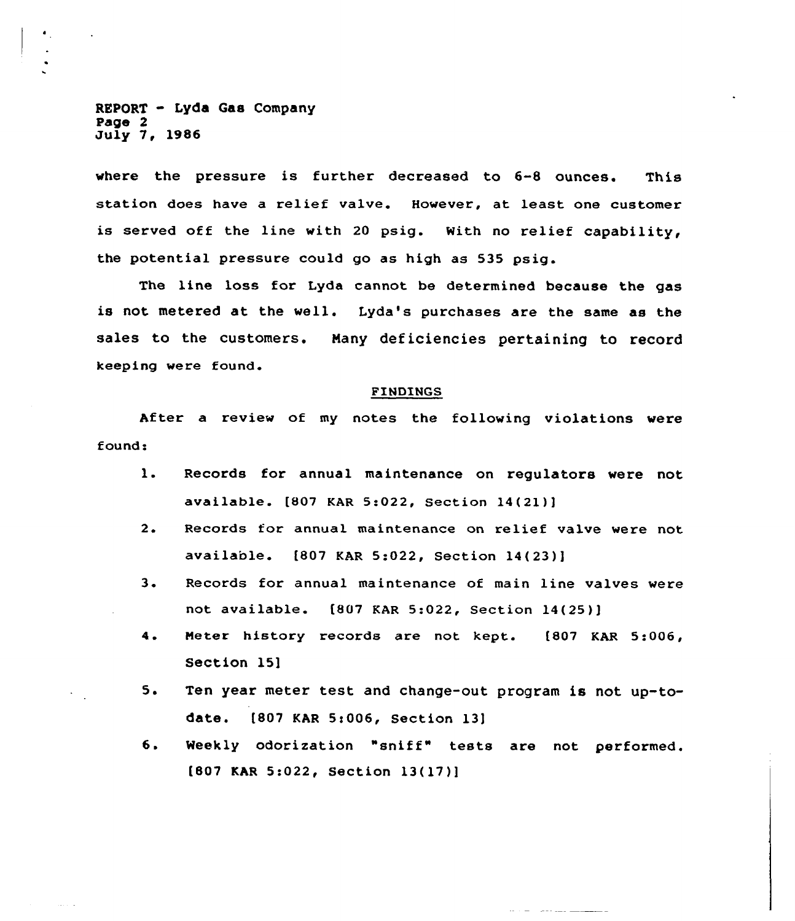$REPORT - Lyda$  Gas Company Page 2 July 7, 1986

where the pressure is further decreased to 6-8 ounces. This station does have a relief valve. However, at least one customer is served off the line with <sup>20</sup> psig. With no relief capability, the potential pressure could go as high as 535 psig.

The line loss for Lyda cannot be determined because the gas is not metered at the well. Lyda's purchases are the same as the sales to the customers. Nany deficiencies pertaining to record keeping were found.

## FINDINGS

After a review of my notes the folloving violations were found:

- $\mathbf{1}$ . Records for annual maintenance on regulators were not available. [807 KAR 5:022, Section 14(21))
- $2.$ Records for annual maintenance on relief valve were not available. [807 KAR 5:022, Section 14(23)j
- $3.$ Records for annual maintenance of main line valves were not available. [807 KAR 5:022, Section 14(25)]
- $4.$ Heter history records are not kept. [807 KAR 5:006 Section 15l
- $5.$ Ten year meter test and change-out program is not up-todate. [807 KAR 5:006, Section 13]
- 6. Weekly odorization "sniff" tests are not performed. [807 KAR 5:022, Section 13(17)]

 $\frac{1}{2} \left( \frac{1}{2} \right) \left( \frac{1}{2} \right) \left( \frac{1}{2} \right) \left( \frac{1}{2} \right) \left( \frac{1}{2} \right) \left( \frac{1}{2} \right) \left( \frac{1}{2} \right) \left( \frac{1}{2} \right) \left( \frac{1}{2} \right) \left( \frac{1}{2} \right) \left( \frac{1}{2} \right) \left( \frac{1}{2} \right) \left( \frac{1}{2} \right) \left( \frac{1}{2} \right) \left( \frac{1}{2} \right) \left( \frac{1}{2} \right) \left( \frac$